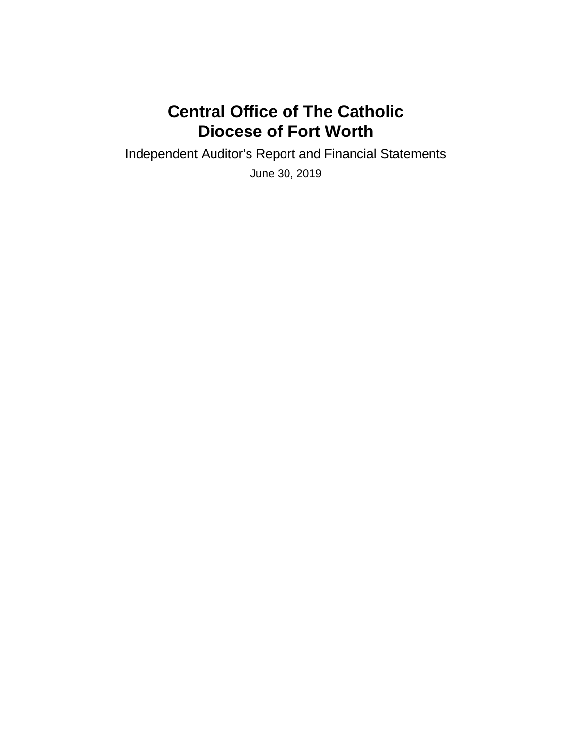Independent Auditor's Report and Financial Statements

June 30, 2019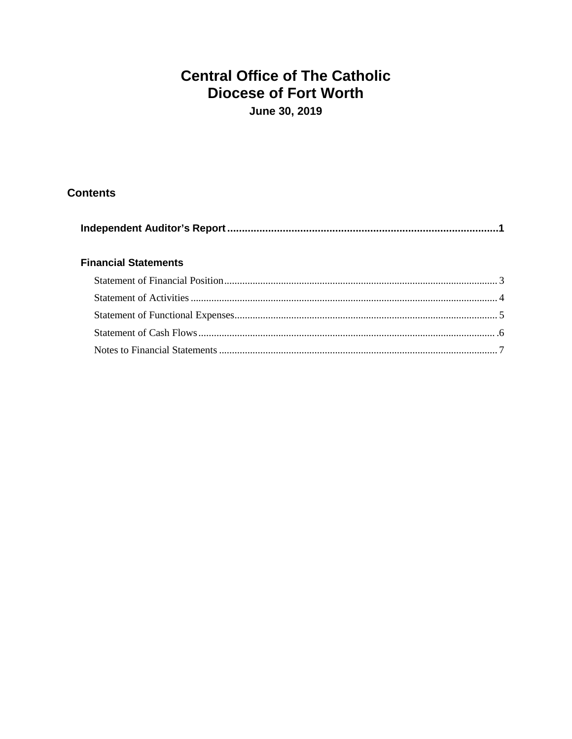June 30, 2019

## **Contents**

| <b>Financial Statements</b> |  |
|-----------------------------|--|
|                             |  |
|                             |  |
|                             |  |
|                             |  |
|                             |  |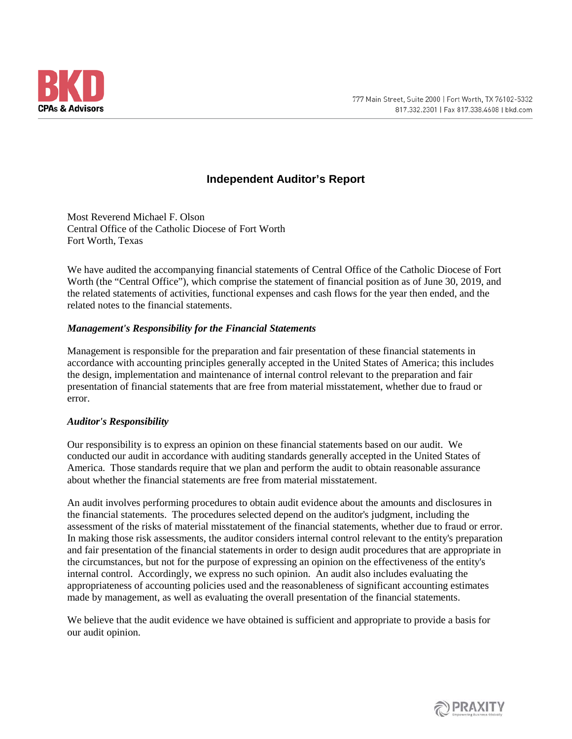

### **Independent Auditor's Report**

Most Reverend Michael F. Olson Central Office of the Catholic Diocese of Fort Worth Fort Worth, Texas

We have audited the accompanying financial statements of Central Office of the Catholic Diocese of Fort Worth (the "Central Office"), which comprise the statement of financial position as of June 30, 2019, and the related statements of activities, functional expenses and cash flows for the year then ended, and the related notes to the financial statements.

#### *Management's Responsibility for the Financial Statements*

Management is responsible for the preparation and fair presentation of these financial statements in accordance with accounting principles generally accepted in the United States of America; this includes the design, implementation and maintenance of internal control relevant to the preparation and fair presentation of financial statements that are free from material misstatement, whether due to fraud or error.

#### *Auditor's Responsibility*

Our responsibility is to express an opinion on these financial statements based on our audit. We conducted our audit in accordance with auditing standards generally accepted in the United States of America. Those standards require that we plan and perform the audit to obtain reasonable assurance about whether the financial statements are free from material misstatement.

An audit involves performing procedures to obtain audit evidence about the amounts and disclosures in the financial statements. The procedures selected depend on the auditor's judgment, including the assessment of the risks of material misstatement of the financial statements, whether due to fraud or error. In making those risk assessments, the auditor considers internal control relevant to the entity's preparation and fair presentation of the financial statements in order to design audit procedures that are appropriate in the circumstances, but not for the purpose of expressing an opinion on the effectiveness of the entity's internal control. Accordingly, we express no such opinion. An audit also includes evaluating the appropriateness of accounting policies used and the reasonableness of significant accounting estimates made by management, as well as evaluating the overall presentation of the financial statements.

We believe that the audit evidence we have obtained is sufficient and appropriate to provide a basis for our audit opinion.

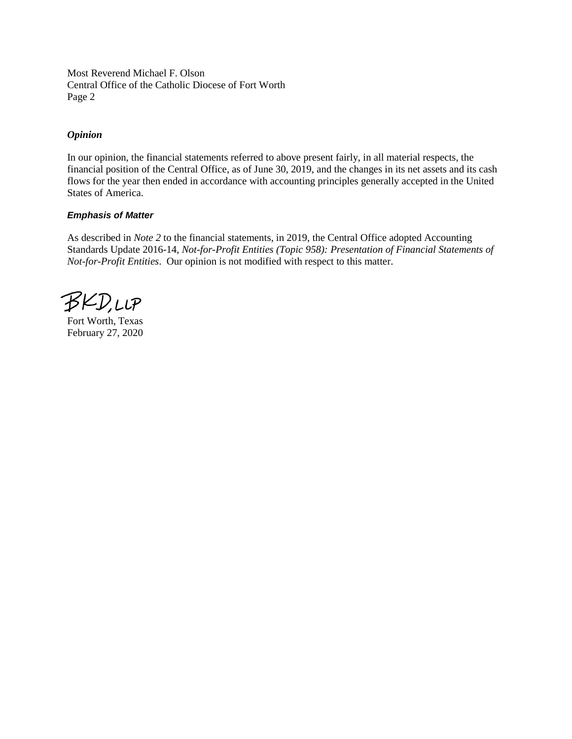Most Reverend Michael F. Olson Central Office of the Catholic Diocese of Fort Worth Page 2

#### *Opinion*

In our opinion, the financial statements referred to above present fairly, in all material respects, the financial position of the Central Office, as of June 30, 2019, and the changes in its net assets and its cash flows for the year then ended in accordance with accounting principles generally accepted in the United States of America.

#### *Emphasis of Matter*

As described in *Note 2* to the financial statements, in 2019, the Central Office adopted Accounting Standards Update 2016-14, *Not-for-Profit Entities (Topic 958): Presentation of Financial Statements of Not-for-Profit Entities*. Our opinion is not modified with respect to this matter.

**BKD,LLP** 

Fort Worth, Texas February 27, 2020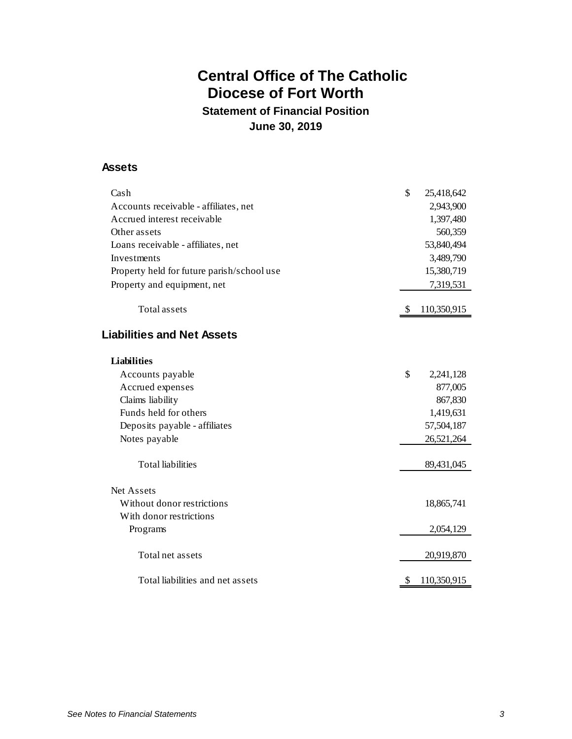## **Statement of Financial Position June 30, 2019**

#### **Assets**

| Cash                                       | \$<br>25,418,642  |
|--------------------------------------------|-------------------|
| Accounts receivable - affiliates, net      | 2,943,900         |
| Accrued interest receivable                | 1,397,480         |
| Other assets                               | 560,359           |
| Loans receivable - affiliates, net         | 53,840,494        |
| Investments                                | 3,489,790         |
| Property held for future parish/school use | 15,380,719        |
| Property and equipment, net                | 7,319,531         |
| Total assets                               | \$<br>110,350,915 |
| <b>Liabilities and Net Assets</b>          |                   |
| <b>Liabilities</b>                         |                   |
| Accounts payable                           | \$<br>2,241,128   |
| Accrued expenses                           | 877,005           |
| Claims liability                           | 867,830           |
| Funds held for others                      | 1,419,631         |
| Deposits payable - affiliates              | 57,504,187        |
| Notes payable                              | 26,521,264        |
| <b>Total liabilities</b>                   | 89,431,045        |
| Net Assets                                 |                   |
| Without donor restrictions                 | 18,865,741        |
| With donor restrictions                    |                   |
| Programs                                   | 2,054,129         |
| Total net assets                           | 20,919,870        |
| Total liabilities and net assets           | \$<br>110,350,915 |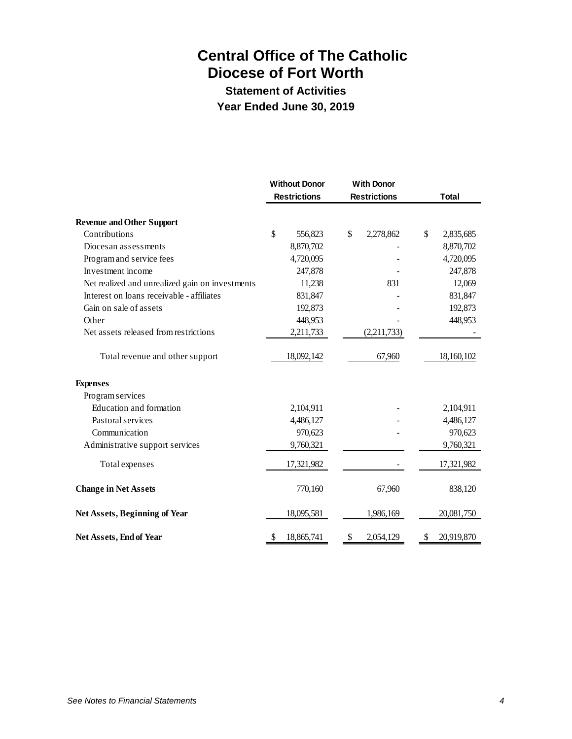**Statement of Activities Year Ended June 30, 2019**

|                                                 | <b>Without Donor</b> | With Donor          |                  |
|-------------------------------------------------|----------------------|---------------------|------------------|
|                                                 | <b>Restrictions</b>  | <b>Restrictions</b> | <b>Total</b>     |
| <b>Revenue and Other Support</b>                |                      |                     |                  |
| Contributions                                   | \$<br>556,823        | \$<br>2,278,862     | \$<br>2,835,685  |
| Diocesan assessments                            | 8,870,702            |                     | 8,870,702        |
| Program and service fees                        | 4,720,095            |                     | 4,720,095        |
| Investment income                               | 247,878              |                     | 247,878          |
| Net realized and unrealized gain on investments | 11,238               | 831                 | 12,069           |
| Interest on loans receivable - affiliates       | 831,847              |                     | 831,847          |
| Gain on sale of assets                          | 192,873              |                     | 192,873          |
| Other                                           | 448,953              |                     | 448,953          |
| Net assets released from restrictions           | 2,211,733            | (2,211,733)         |                  |
| Total revenue and other support                 | 18,092,142           | 67,960              | 18,160,102       |
| <b>Expenses</b>                                 |                      |                     |                  |
| Program services                                |                      |                     |                  |
| Education and formation                         | 2,104,911            |                     | 2,104,911        |
| Pastoral services                               | 4,486,127            |                     | 4,486,127        |
| Communication                                   | 970,623              |                     | 970,623          |
| Administrative support services                 | 9,760,321            |                     | 9,760,321        |
| Total expenses                                  | 17,321,982           |                     | 17,321,982       |
| <b>Change in Net Assets</b>                     | 770,160              | 67,960              | 838,120          |
| <b>Net Assets, Beginning of Year</b>            | 18,095,581           | 1,986,169           | 20,081,750       |
| Net Assets, End of Year                         | \$<br>18,865,741     | \$<br>2,054,129     | 20,919,870<br>\$ |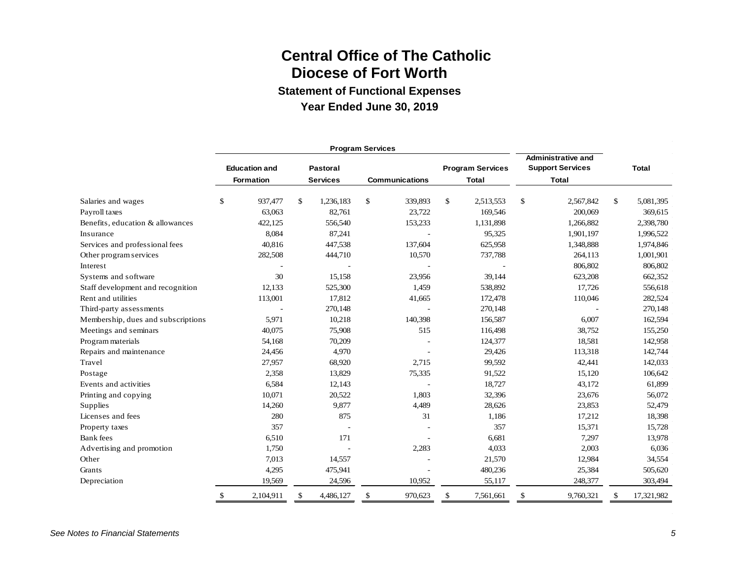**Statement of Functional Expenses**

### **Year Ended June 30, 2019**

|                                    | <b>Program Services</b> |                      |              |                 |    |                       |                         |              |              |                                               |                  |
|------------------------------------|-------------------------|----------------------|--------------|-----------------|----|-----------------------|-------------------------|--------------|--------------|-----------------------------------------------|------------------|
|                                    |                         | <b>Education and</b> |              | <b>Pastoral</b> |    |                       | <b>Program Services</b> |              |              | Administrative and<br><b>Support Services</b> | <b>Total</b>     |
|                                    |                         | <b>Formation</b>     |              | <b>Services</b> |    | <b>Communications</b> |                         | <b>Total</b> |              | <b>Total</b>                                  |                  |
|                                    |                         | 937,477              | $\mathbb{S}$ |                 | \$ | 339,893               | $\mathbb{S}$            |              | $\mathbb{S}$ |                                               | 5,081,395        |
| Salaries and wages                 | \$                      |                      |              | 1,236,183       |    |                       |                         | 2,513,553    |              | 2,567,842                                     | \$               |
| Payroll taxes                      |                         | 63,063               |              | 82,761          |    | 23,722                |                         | 169,546      |              | 200,069                                       | 369,615          |
| Benefits, education & allowances   |                         | 422,125              |              | 556,540         |    | 153,233               |                         | 1,131,898    |              | 1,266,882                                     | 2,398,780        |
| Insurance                          |                         | 8,084                |              | 87,241          |    |                       |                         | 95,325       |              | 1,901,197                                     | 1,996,522        |
| Services and professional fees     |                         | 40,816               |              | 447,538         |    | 137,604               |                         | 625,958      |              | 1,348,888                                     | 1,974,846        |
| Other program services             |                         | 282,508              |              | 444,710         |    | 10,570                |                         | 737,788      |              | 264,113                                       | 1,001,901        |
| Interest                           |                         |                      |              |                 |    |                       |                         |              |              | 806,802                                       | 806,802          |
| Systems and software               |                         | 30                   |              | 15,158          |    | 23,956                |                         | 39,144       |              | 623,208                                       | 662,352          |
| Staff development and recognition  |                         | 12,133               |              | 525,300         |    | 1,459                 |                         | 538,892      |              | 17,726                                        | 556,618          |
| Rent and utilities                 |                         | 113,001              |              | 17,812          |    | 41,665                |                         | 172,478      |              | 110,046                                       | 282,524          |
| Third-party assessments            |                         |                      |              | 270,148         |    |                       |                         | 270,148      |              |                                               | 270,148          |
| Membership, dues and subscriptions |                         | 5,971                |              | 10,218          |    | 140,398               |                         | 156,587      |              | 6,007                                         | 162,594          |
| Meetings and seminars              |                         | 40,075               |              | 75,908          |    | 515                   |                         | 116,498      |              | 38,752                                        | 155,250          |
| Program materials                  |                         | 54,168               |              | 70,209          |    |                       |                         | 124,377      |              | 18,581                                        | 142,958          |
| Repairs and maintenance            |                         | 24,456               |              | 4,970           |    |                       |                         | 29,426       |              | 113,318                                       | 142,744          |
| Travel                             |                         | 27,957               |              | 68,920          |    | 2,715                 |                         | 99,592       |              | 42,441                                        | 142,033          |
| Postage                            |                         | 2,358                |              | 13,829          |    | 75,335                |                         | 91,522       |              | 15,120                                        | 106,642          |
| Events and activities              |                         | 6,584                |              | 12,143          |    |                       |                         | 18,727       |              | 43,172                                        | 61,899           |
| Printing and copying               |                         | 10,071               |              | 20,522          |    | 1,803                 |                         | 32,396       |              | 23,676                                        | 56,072           |
| Supplies                           |                         | 14,260               |              | 9,877           |    | 4,489                 |                         | 28,626       |              | 23,853                                        | 52,479           |
| Licenses and fees                  |                         | 280                  |              | 875             |    | 31                    |                         | 1,186        |              | 17,212                                        | 18,398           |
| Property taxes                     |                         | 357                  |              |                 |    |                       |                         | 357          |              | 15,371                                        | 15,728           |
| Bank fees                          |                         | 6,510                |              | 171             |    |                       |                         | 6,681        |              | 7,297                                         | 13,978           |
| Advertising and promotion          |                         | 1,750                |              |                 |    | 2,283                 |                         | 4,033        |              | 2,003                                         | 6,036            |
| Other                              |                         | 7,013                |              | 14,557          |    |                       |                         | 21,570       |              | 12,984                                        | 34,554           |
| Grants                             |                         | 4,295                |              | 475,941         |    |                       |                         | 480,236      |              | 25,384                                        | 505,620          |
| Depreciation                       |                         | 19,569               |              | 24,596          |    | 10,952                |                         | 55,117       |              | 248,377                                       | 303,494          |
|                                    | $\mathbb{S}$            | 2,104,911            | \$           | 4,486,127       | \$ | 970,623               | \$                      | 7,561,661    | $\mathbb{S}$ | 9,760,321                                     | \$<br>17,321,982 |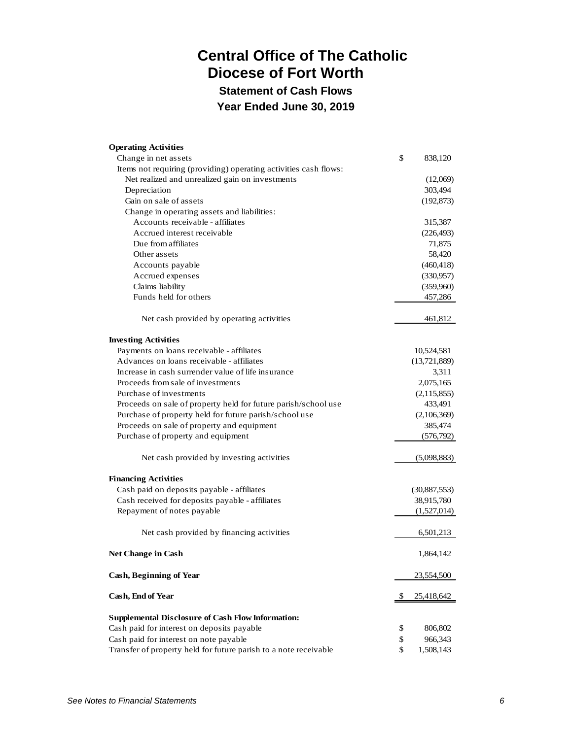**Statement of Cash Flows**

**Year Ended June 30, 2019**

| <b>Operating Activities</b>                                      |    |              |
|------------------------------------------------------------------|----|--------------|
| Change in net assets                                             | \$ | 838,120      |
| Items not requiring (providing) operating activities cash flows: |    |              |
| Net realized and unrealized gain on investments                  |    | (12,069)     |
| Depreciation                                                     |    | 303,494      |
| Gain on sale of assets                                           |    | (192, 873)   |
| Change in operating assets and liabilities:                      |    |              |
| Accounts receivable - affiliates                                 |    | 315,387      |
| Accrued interest receivable                                      |    | (226, 493)   |
| Due from affiliates                                              |    | 71,875       |
| Other assets                                                     |    | 58,420       |
| Accounts payable                                                 |    | (460, 418)   |
| Accrued expenses                                                 |    | (330,957)    |
| Claims liability                                                 |    | (359,960)    |
| Funds held for others                                            |    | 457,286      |
| Net cash provided by operating activities                        |    | 461,812      |
| <b>Investing Activities</b>                                      |    |              |
| Payments on loans receivable - affiliates                        |    | 10,524,581   |
| Advances on loans receivable - affiliates                        |    | (13,721,889) |
| Increase in cash surrender value of life insurance               |    | 3,311        |
| Proceeds from sale of investments                                |    | 2,075,165    |
| Purchase of investments                                          |    | (2,115,855)  |
| Proceeds on sale of property held for future parish/school use   |    | 433,491      |
| Purchase of property held for future parish/school use           |    | (2,106,369)  |
| Proceeds on sale of property and equipment                       |    | 385,474      |
| Purchase of property and equipment                               |    | (576, 792)   |
| Net cash provided by investing activities                        |    | (5,098,883)  |
| <b>Financing Activities</b>                                      |    |              |
| Cash paid on deposits payable - affiliates                       |    | (30,887,553) |
| Cash received for deposits payable - affiliates                  |    | 38,915,780   |
| Repayment of notes payable                                       |    | (1,527,014)  |
| Net cash provided by financing activities                        |    | 6,501,213    |
| <b>Net Change in Cash</b>                                        |    | 1,864,142    |
| <b>Cash, Beginning of Year</b>                                   |    | 23,554,500   |
| Cash, End of Year                                                | S  | 25,418,642   |
| <b>Supplemental Disclosure of Cash Flow Information:</b>         |    |              |
| Cash paid for interest on deposits payable                       | \$ | 806,802      |
| Cash paid for interest on note payable                           | \$ | 966,343      |
| Transfer of property held for future parish to a note receivable | \$ | 1,508,143    |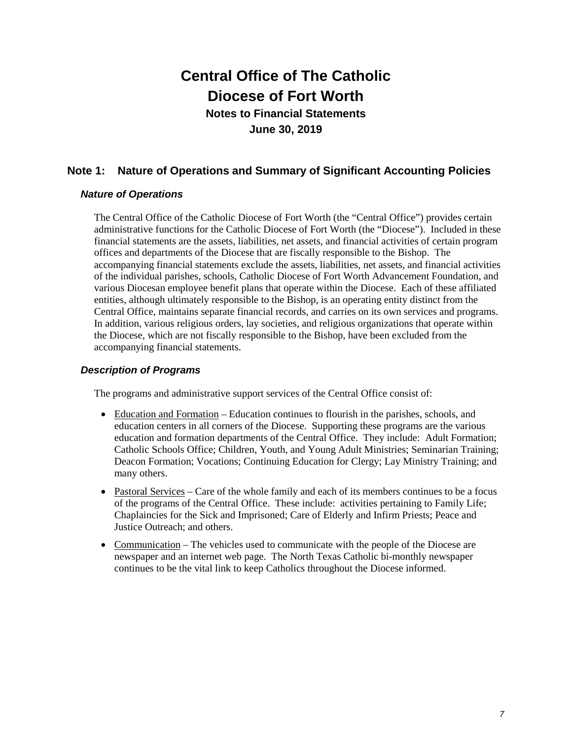**June 30, 2019**

#### **Note 1: Nature of Operations and Summary of Significant Accounting Policies**

#### *Nature of Operations*

The Central Office of the Catholic Diocese of Fort Worth (the "Central Office") provides certain administrative functions for the Catholic Diocese of Fort Worth (the "Diocese"). Included in these financial statements are the assets, liabilities, net assets, and financial activities of certain program offices and departments of the Diocese that are fiscally responsible to the Bishop. The accompanying financial statements exclude the assets, liabilities, net assets, and financial activities of the individual parishes, schools, Catholic Diocese of Fort Worth Advancement Foundation, and various Diocesan employee benefit plans that operate within the Diocese. Each of these affiliated entities, although ultimately responsible to the Bishop, is an operating entity distinct from the Central Office, maintains separate financial records, and carries on its own services and programs. In addition, various religious orders, lay societies, and religious organizations that operate within the Diocese, which are not fiscally responsible to the Bishop, have been excluded from the accompanying financial statements.

#### *Description of Programs*

The programs and administrative support services of the Central Office consist of:

- Education and Formation Education continues to flourish in the parishes, schools, and education centers in all corners of the Diocese. Supporting these programs are the various education and formation departments of the Central Office. They include: Adult Formation; Catholic Schools Office; Children, Youth, and Young Adult Ministries; Seminarian Training; Deacon Formation; Vocations; Continuing Education for Clergy; Lay Ministry Training; and many others.
- Pastoral Services Care of the whole family and each of its members continues to be a focus of the programs of the Central Office. These include: activities pertaining to Family Life; Chaplaincies for the Sick and Imprisoned; Care of Elderly and Infirm Priests; Peace and Justice Outreach; and others.
- Communication The vehicles used to communicate with the people of the Diocese are newspaper and an internet web page. The North Texas Catholic bi-monthly newspaper continues to be the vital link to keep Catholics throughout the Diocese informed.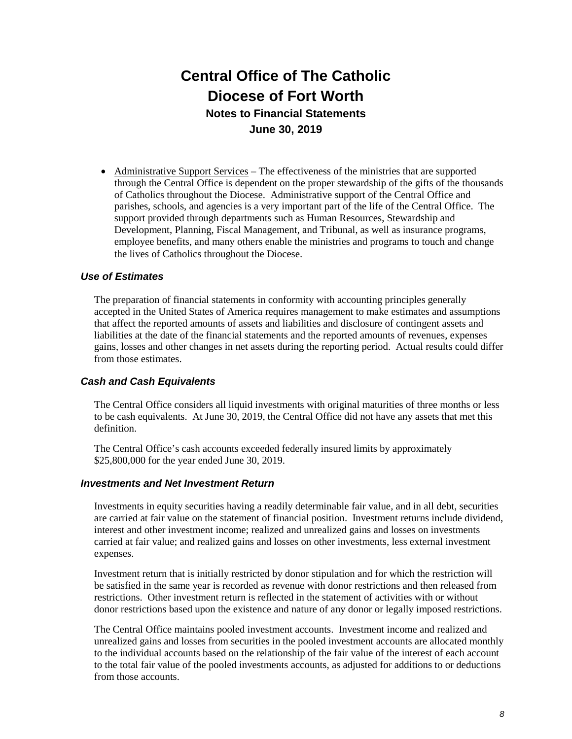• Administrative Support Services – The effectiveness of the ministries that are supported through the Central Office is dependent on the proper stewardship of the gifts of the thousands of Catholics throughout the Diocese. Administrative support of the Central Office and parishes, schools, and agencies is a very important part of the life of the Central Office. The support provided through departments such as Human Resources, Stewardship and Development, Planning, Fiscal Management, and Tribunal, as well as insurance programs, employee benefits, and many others enable the ministries and programs to touch and change the lives of Catholics throughout the Diocese.

#### *Use of Estimates*

The preparation of financial statements in conformity with accounting principles generally accepted in the United States of America requires management to make estimates and assumptions that affect the reported amounts of assets and liabilities and disclosure of contingent assets and liabilities at the date of the financial statements and the reported amounts of revenues, expenses gains, losses and other changes in net assets during the reporting period. Actual results could differ from those estimates.

#### *Cash and Cash Equivalents*

The Central Office considers all liquid investments with original maturities of three months or less to be cash equivalents. At June 30, 2019, the Central Office did not have any assets that met this definition.

The Central Office's cash accounts exceeded federally insured limits by approximately \$25,800,000 for the year ended June 30, 2019.

#### *Investments and Net Investment Return*

Investments in equity securities having a readily determinable fair value, and in all debt, securities are carried at fair value on the statement of financial position. Investment returns include dividend, interest and other investment income; realized and unrealized gains and losses on investments carried at fair value; and realized gains and losses on other investments, less external investment expenses.

Investment return that is initially restricted by donor stipulation and for which the restriction will be satisfied in the same year is recorded as revenue with donor restrictions and then released from restrictions. Other investment return is reflected in the statement of activities with or without donor restrictions based upon the existence and nature of any donor or legally imposed restrictions.

The Central Office maintains pooled investment accounts. Investment income and realized and unrealized gains and losses from securities in the pooled investment accounts are allocated monthly to the individual accounts based on the relationship of the fair value of the interest of each account to the total fair value of the pooled investments accounts, as adjusted for additions to or deductions from those accounts.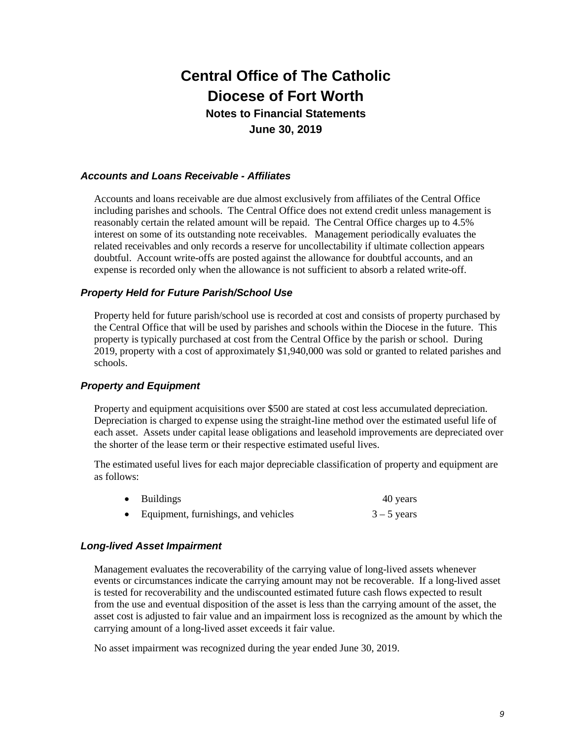#### **June 30, 2019**

#### *Accounts and Loans Receivable - Affiliates*

Accounts and loans receivable are due almost exclusively from affiliates of the Central Office including parishes and schools. The Central Office does not extend credit unless management is reasonably certain the related amount will be repaid. The Central Office charges up to 4.5% interest on some of its outstanding note receivables. Management periodically evaluates the related receivables and only records a reserve for uncollectability if ultimate collection appears doubtful. Account write-offs are posted against the allowance for doubtful accounts, and an expense is recorded only when the allowance is not sufficient to absorb a related write-off.

#### *Property Held for Future Parish/School Use*

Property held for future parish/school use is recorded at cost and consists of property purchased by the Central Office that will be used by parishes and schools within the Diocese in the future. This property is typically purchased at cost from the Central Office by the parish or school. During 2019, property with a cost of approximately \$1,940,000 was sold or granted to related parishes and schools.

#### *Property and Equipment*

Property and equipment acquisitions over \$500 are stated at cost less accumulated depreciation. Depreciation is charged to expense using the straight-line method over the estimated useful life of each asset. Assets under capital lease obligations and leasehold improvements are depreciated over the shorter of the lease term or their respective estimated useful lives.

The estimated useful lives for each major depreciable classification of property and equipment are as follows:

|           | $\bullet$ Buildings                  | 40 years      |
|-----------|--------------------------------------|---------------|
| $\bullet$ | Equipment, furnishings, and vehicles | $3 - 5$ years |

#### *Long-lived Asset Impairment*

Management evaluates the recoverability of the carrying value of long-lived assets whenever events or circumstances indicate the carrying amount may not be recoverable. If a long-lived asset is tested for recoverability and the undiscounted estimated future cash flows expected to result from the use and eventual disposition of the asset is less than the carrying amount of the asset, the asset cost is adjusted to fair value and an impairment loss is recognized as the amount by which the carrying amount of a long-lived asset exceeds it fair value.

No asset impairment was recognized during the year ended June 30, 2019.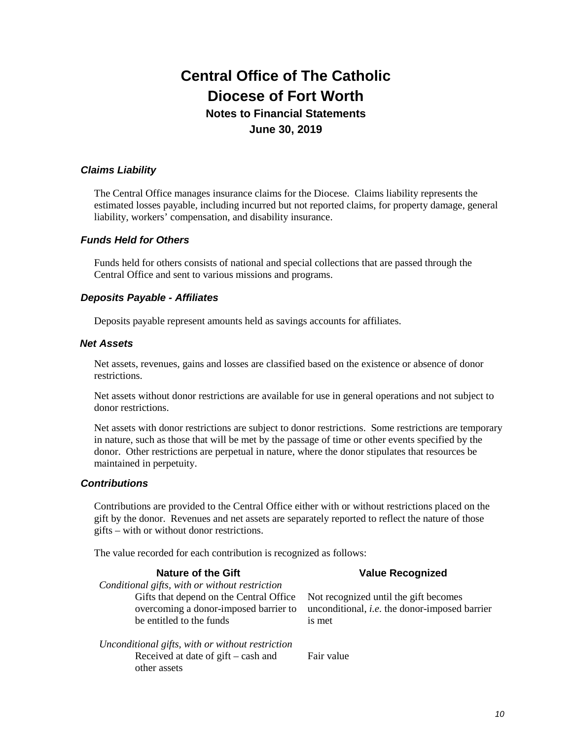#### *Claims Liability*

The Central Office manages insurance claims for the Diocese. Claims liability represents the estimated losses payable, including incurred but not reported claims, for property damage, general liability, workers' compensation, and disability insurance.

#### *Funds Held for Others*

Funds held for others consists of national and special collections that are passed through the Central Office and sent to various missions and programs.

#### *Deposits Payable - Affiliates*

Deposits payable represent amounts held as savings accounts for affiliates.

#### *Net Assets*

Net assets, revenues, gains and losses are classified based on the existence or absence of donor restrictions.

Net assets without donor restrictions are available for use in general operations and not subject to donor restrictions.

Net assets with donor restrictions are subject to donor restrictions. Some restrictions are temporary in nature, such as those that will be met by the passage of time or other events specified by the donor. Other restrictions are perpetual in nature, where the donor stipulates that resources be maintained in perpetuity.

#### *Contributions*

other assets

Contributions are provided to the Central Office either with or without restrictions placed on the gift by the donor. Revenues and net assets are separately reported to reflect the nature of those gifts – with or without donor restrictions.

The value recorded for each contribution is recognized as follows:

| <b>Nature of the Gift</b>                                                                                                                                      | <b>Value Recognized</b>                                                                                 |
|----------------------------------------------------------------------------------------------------------------------------------------------------------------|---------------------------------------------------------------------------------------------------------|
| Conditional gifts, with or without restriction<br>Gifts that depend on the Central Office<br>overcoming a donor-imposed barrier to<br>be entitled to the funds | Not recognized until the gift becomes<br>unconditional, <i>i.e.</i> the donor-imposed barrier<br>is met |
| Unconditional gifts, with or without restriction<br>Received at date of $g$ ift – cash and                                                                     | Fair value                                                                                              |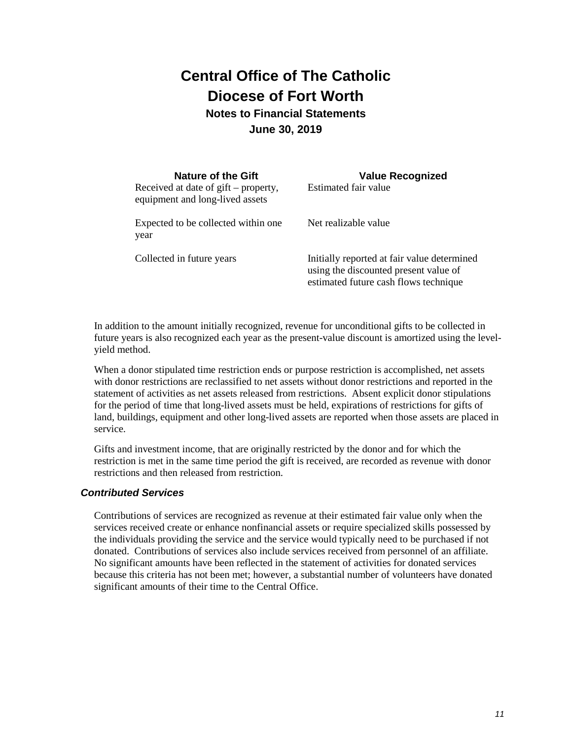### **Notes to Financial Statements June 30, 2019**

| <b>Nature of the Gift</b><br>Received at date of gift – property,<br>equipment and long-lived assets | <b>Value Recognized</b><br>Estimated fair value                                                                               |
|------------------------------------------------------------------------------------------------------|-------------------------------------------------------------------------------------------------------------------------------|
| Expected to be collected within one.<br>year                                                         | Net realizable value                                                                                                          |
| Collected in future years                                                                            | Initially reported at fair value determined<br>using the discounted present value of<br>estimated future cash flows technique |

In addition to the amount initially recognized, revenue for unconditional gifts to be collected in future years is also recognized each year as the present-value discount is amortized using the levelyield method.

When a donor stipulated time restriction ends or purpose restriction is accomplished, net assets with donor restrictions are reclassified to net assets without donor restrictions and reported in the statement of activities as net assets released from restrictions. Absent explicit donor stipulations for the period of time that long-lived assets must be held, expirations of restrictions for gifts of land, buildings, equipment and other long-lived assets are reported when those assets are placed in service.

Gifts and investment income, that are originally restricted by the donor and for which the restriction is met in the same time period the gift is received, are recorded as revenue with donor restrictions and then released from restriction.

#### *Contributed Services*

Contributions of services are recognized as revenue at their estimated fair value only when the services received create or enhance nonfinancial assets or require specialized skills possessed by the individuals providing the service and the service would typically need to be purchased if not donated. Contributions of services also include services received from personnel of an affiliate. No significant amounts have been reflected in the statement of activities for donated services because this criteria has not been met; however, a substantial number of volunteers have donated significant amounts of their time to the Central Office.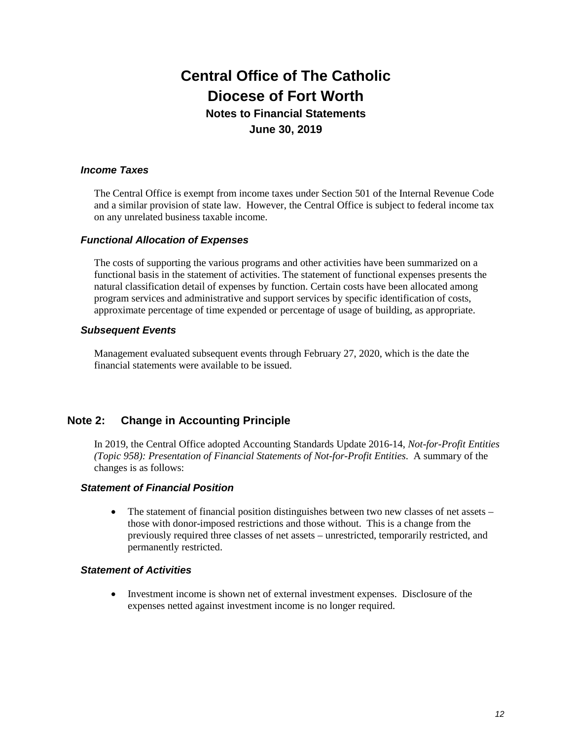#### *Income Taxes*

The Central Office is exempt from income taxes under Section 501 of the Internal Revenue Code and a similar provision of state law. However, the Central Office is subject to federal income tax on any unrelated business taxable income.

#### *Functional Allocation of Expenses*

The costs of supporting the various programs and other activities have been summarized on a functional basis in the statement of activities. The statement of functional expenses presents the natural classification detail of expenses by function. Certain costs have been allocated among program services and administrative and support services by specific identification of costs, approximate percentage of time expended or percentage of usage of building, as appropriate.

#### *Subsequent Events*

Management evaluated subsequent events through February 27, 2020, which is the date the financial statements were available to be issued.

#### **Note 2: Change in Accounting Principle**

In 2019, the Central Office adopted Accounting Standards Update 2016-14, *Not-for-Profit Entities (Topic 958): Presentation of Financial Statements of Not-for-Profit Entities*. A summary of the changes is as follows:

#### *Statement of Financial Position*

• The statement of financial position distinguishes between two new classes of net assets – those with donor-imposed restrictions and those without. This is a change from the previously required three classes of net assets – unrestricted, temporarily restricted, and permanently restricted.

#### *Statement of Activities*

• Investment income is shown net of external investment expenses. Disclosure of the expenses netted against investment income is no longer required.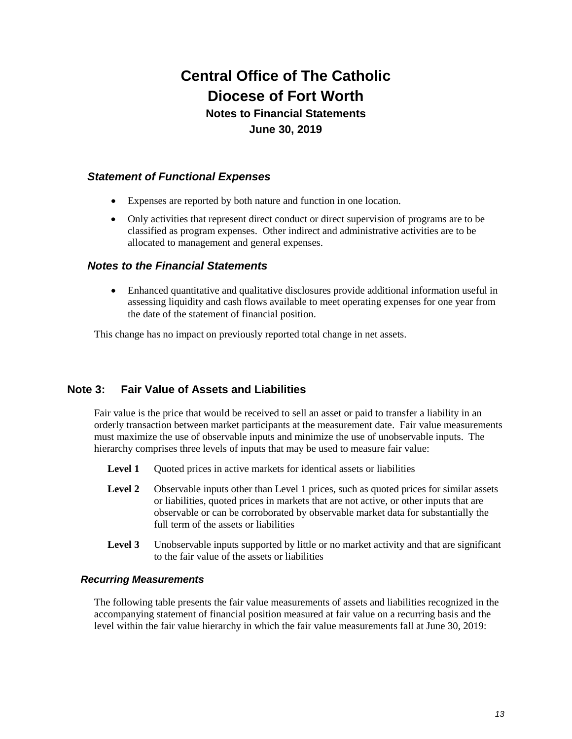## **June 30, 2019**

#### *Statement of Functional Expenses*

- Expenses are reported by both nature and function in one location.
- Only activities that represent direct conduct or direct supervision of programs are to be classified as program expenses. Other indirect and administrative activities are to be allocated to management and general expenses.

#### *Notes to the Financial Statements*

• Enhanced quantitative and qualitative disclosures provide additional information useful in assessing liquidity and cash flows available to meet operating expenses for one year from the date of the statement of financial position.

This change has no impact on previously reported total change in net assets.

### **Note 3: Fair Value of Assets and Liabilities**

Fair value is the price that would be received to sell an asset or paid to transfer a liability in an orderly transaction between market participants at the measurement date. Fair value measurements must maximize the use of observable inputs and minimize the use of unobservable inputs. The hierarchy comprises three levels of inputs that may be used to measure fair value:

- Level 1 Quoted prices in active markets for identical assets or liabilities
- Level 2 Observable inputs other than Level 1 prices, such as quoted prices for similar assets or liabilities, quoted prices in markets that are not active, or other inputs that are observable or can be corroborated by observable market data for substantially the full term of the assets or liabilities
- Level 3 Unobservable inputs supported by little or no market activity and that are significant to the fair value of the assets or liabilities

#### *Recurring Measurements*

The following table presents the fair value measurements of assets and liabilities recognized in the accompanying statement of financial position measured at fair value on a recurring basis and the level within the fair value hierarchy in which the fair value measurements fall at June 30, 2019: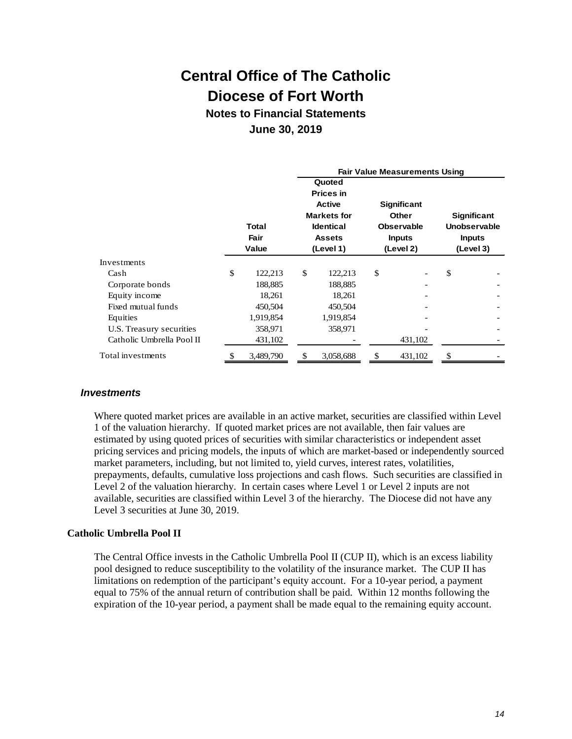**Notes to Financial Statements**

#### **June 30, 2019**

|                           |                 | <b>Fair Value Measurements Using</b> |                    |    |                    |           |                    |
|---------------------------|-----------------|--------------------------------------|--------------------|----|--------------------|-----------|--------------------|
|                           |                 |                                      | Quoted             |    |                    |           |                    |
|                           |                 |                                      | <b>Prices in</b>   |    |                    |           |                    |
|                           |                 |                                      | <b>Active</b>      |    | <b>Significant</b> |           |                    |
|                           |                 |                                      | <b>Markets for</b> |    | <b>Other</b>       |           | <b>Significant</b> |
|                           | Total           |                                      | <b>Identical</b>   |    | <b>Observable</b>  |           | Unobservable       |
|                           | Fair            |                                      | <b>Assets</b>      |    | <b>Inputs</b>      |           | <b>Inputs</b>      |
|                           | Value           | (Level 1)                            |                    |    | (Level 2)          | (Level 3) |                    |
| Investments               |                 |                                      |                    |    |                    |           |                    |
| Cash                      | \$<br>122,213   | \$                                   | 122,213            | \$ |                    | \$        |                    |
| Corporate bonds           | 188,885         |                                      | 188,885            |    |                    |           |                    |
| Equity income             | 18,261          |                                      | 18,261             |    |                    |           |                    |
| Fixed mutual funds        | 450,504         |                                      | 450,504            |    |                    |           |                    |
| Equities                  | 1,919,854       |                                      | 1,919,854          |    |                    |           |                    |
| U.S. Treasury securities  | 358,971         |                                      | 358,971            |    |                    |           |                    |
| Catholic Umbrella Pool II | 431,102         |                                      |                    |    | 431,102            |           |                    |
| Total investments         | \$<br>3,489,790 | S                                    | 3,058,688          | \$ | 431,102            | \$        |                    |

#### *Investments*

Where quoted market prices are available in an active market, securities are classified within Level 1 of the valuation hierarchy. If quoted market prices are not available, then fair values are estimated by using quoted prices of securities with similar characteristics or independent asset pricing services and pricing models, the inputs of which are market-based or independently sourced market parameters, including, but not limited to, yield curves, interest rates, volatilities, prepayments, defaults, cumulative loss projections and cash flows. Such securities are classified in Level 2 of the valuation hierarchy. In certain cases where Level 1 or Level 2 inputs are not available, securities are classified within Level 3 of the hierarchy. The Diocese did not have any Level 3 securities at June 30, 2019.

#### **Catholic Umbrella Pool II**

The Central Office invests in the Catholic Umbrella Pool II (CUP II), which is an excess liability pool designed to reduce susceptibility to the volatility of the insurance market. The CUP II has limitations on redemption of the participant's equity account. For a 10-year period, a payment equal to 75% of the annual return of contribution shall be paid. Within 12 months following the expiration of the 10-year period, a payment shall be made equal to the remaining equity account.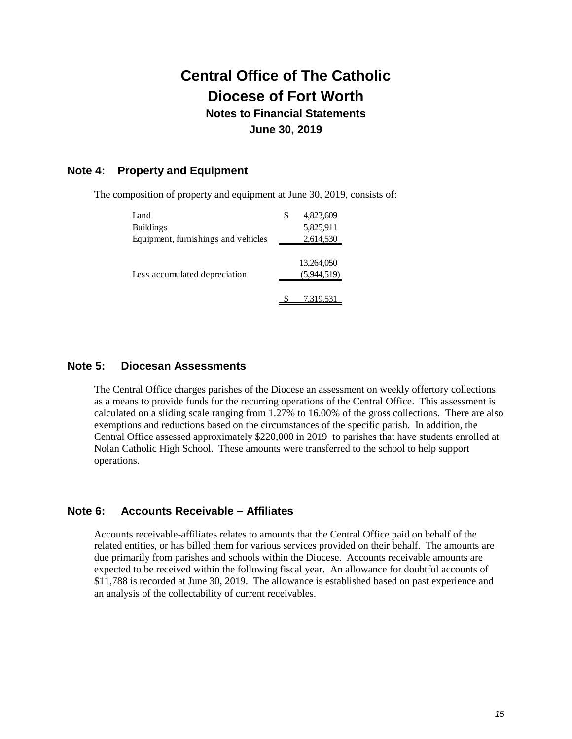#### **June 30, 2019**

#### **Note 4: Property and Equipment**

The composition of property and equipment at June 30, 2019, consists of:

| Land                                | \$<br>4,823,609 |
|-------------------------------------|-----------------|
| <b>Buildings</b>                    | 5,825,911       |
| Equipment, furnishings and vehicles | 2,614,530       |
|                                     |                 |
|                                     | 13,264,050      |
| Less accumulated depreciation       | (5,944,519)     |
|                                     |                 |
|                                     | 7,319,531       |

#### **Note 5: Diocesan Assessments**

The Central Office charges parishes of the Diocese an assessment on weekly offertory collections as a means to provide funds for the recurring operations of the Central Office. This assessment is calculated on a sliding scale ranging from 1.27% to 16.00% of the gross collections. There are also exemptions and reductions based on the circumstances of the specific parish. In addition, the Central Office assessed approximately \$220,000 in 2019 to parishes that have students enrolled at Nolan Catholic High School. These amounts were transferred to the school to help support operations.

#### **Note 6: Accounts Receivable – Affiliates**

Accounts receivable-affiliates relates to amounts that the Central Office paid on behalf of the related entities, or has billed them for various services provided on their behalf. The amounts are due primarily from parishes and schools within the Diocese. Accounts receivable amounts are expected to be received within the following fiscal year. An allowance for doubtful accounts of \$11,788 is recorded at June 30, 2019. The allowance is established based on past experience and an analysis of the collectability of current receivables.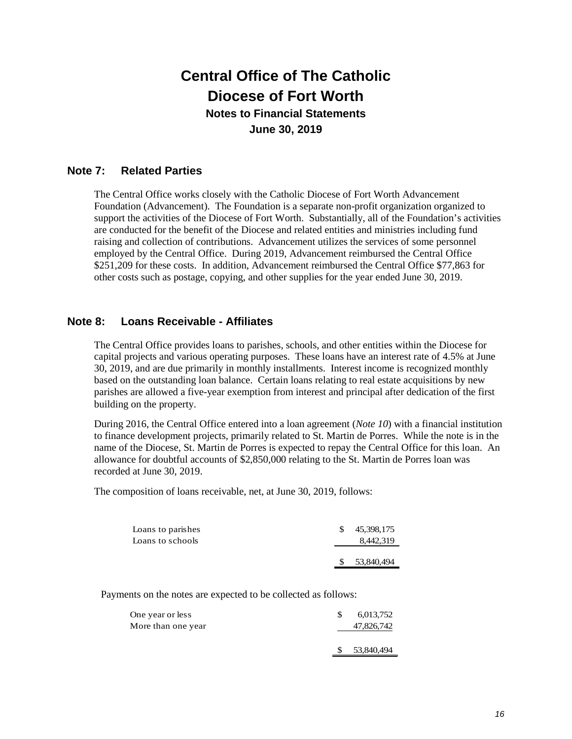#### **Note 7: Related Parties**

The Central Office works closely with the Catholic Diocese of Fort Worth Advancement Foundation (Advancement). The Foundation is a separate non-profit organization organized to support the activities of the Diocese of Fort Worth. Substantially, all of the Foundation's activities are conducted for the benefit of the Diocese and related entities and ministries including fund raising and collection of contributions. Advancement utilizes the services of some personnel employed by the Central Office. During 2019, Advancement reimbursed the Central Office \$251,209 for these costs. In addition, Advancement reimbursed the Central Office \$77,863 for other costs such as postage, copying, and other supplies for the year ended June 30, 2019.

#### **Note 8: Loans Receivable - Affiliates**

The Central Office provides loans to parishes, schools, and other entities within the Diocese for capital projects and various operating purposes. These loans have an interest rate of 4.5% at June 30, 2019, and are due primarily in monthly installments. Interest income is recognized monthly based on the outstanding loan balance. Certain loans relating to real estate acquisitions by new parishes are allowed a five-year exemption from interest and principal after dedication of the first building on the property.

During 2016, the Central Office entered into a loan agreement (*Note 10*) with a financial institution to finance development projects, primarily related to St. Martin de Porres. While the note is in the name of the Diocese, St. Martin de Porres is expected to repay the Central Office for this loan. An allowance for doubtful accounts of \$2,850,000 relating to the St. Martin de Porres loan was recorded at June 30, 2019.

The composition of loans receivable, net, at June 30, 2019, follows:

| Loans to parishes<br>Loans to schools |    | \$45,398,175<br>8,442,319 |
|---------------------------------------|----|---------------------------|
|                                       | S. | 53,840,494                |

Payments on the notes are expected to be collected as follows:

| One year or less   | \$. | 6,013,752  |
|--------------------|-----|------------|
| More than one year |     | 47,826,742 |
|                    |     | 53,840,494 |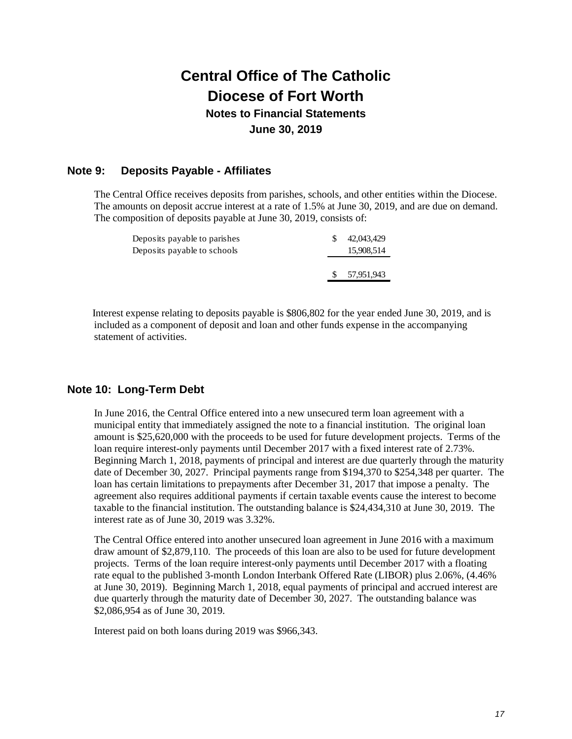#### **June 30, 2019**

#### **Note 9: Deposits Payable - Affiliates**

The Central Office receives deposits from parishes, schools, and other entities within the Diocese. The amounts on deposit accrue interest at a rate of 1.5% at June 30, 2019, and are due on demand. The composition of deposits payable at June 30, 2019, consists of:

| Deposits payable to parishes<br>Deposits payable to schools | 42,043,429<br>15,908,514 |
|-------------------------------------------------------------|--------------------------|
|                                                             | 57,951,943               |

Interest expense relating to deposits payable is \$806,802 for the year ended June 30, 2019, and is included as a component of deposit and loan and other funds expense in the accompanying statement of activities.

#### **Note 10: Long-Term Debt**

In June 2016, the Central Office entered into a new unsecured term loan agreement with a municipal entity that immediately assigned the note to a financial institution. The original loan amount is \$25,620,000 with the proceeds to be used for future development projects. Terms of the loan require interest-only payments until December 2017 with a fixed interest rate of 2.73%. Beginning March 1, 2018, payments of principal and interest are due quarterly through the maturity date of December 30, 2027. Principal payments range from \$194,370 to \$254,348 per quarter. The loan has certain limitations to prepayments after December 31, 2017 that impose a penalty. The agreement also requires additional payments if certain taxable events cause the interest to become taxable to the financial institution. The outstanding balance is \$24,434,310 at June 30, 2019. The interest rate as of June 30, 2019 was 3.32%.

The Central Office entered into another unsecured loan agreement in June 2016 with a maximum draw amount of \$2,879,110. The proceeds of this loan are also to be used for future development projects. Terms of the loan require interest-only payments until December 2017 with a floating rate equal to the published 3-month London Interbank Offered Rate (LIBOR) plus 2.06%, (4.46% at June 30, 2019). Beginning March 1, 2018, equal payments of principal and accrued interest are due quarterly through the maturity date of December 30, 2027. The outstanding balance was \$2,086,954 as of June 30, 2019.

Interest paid on both loans during 2019 was \$966,343.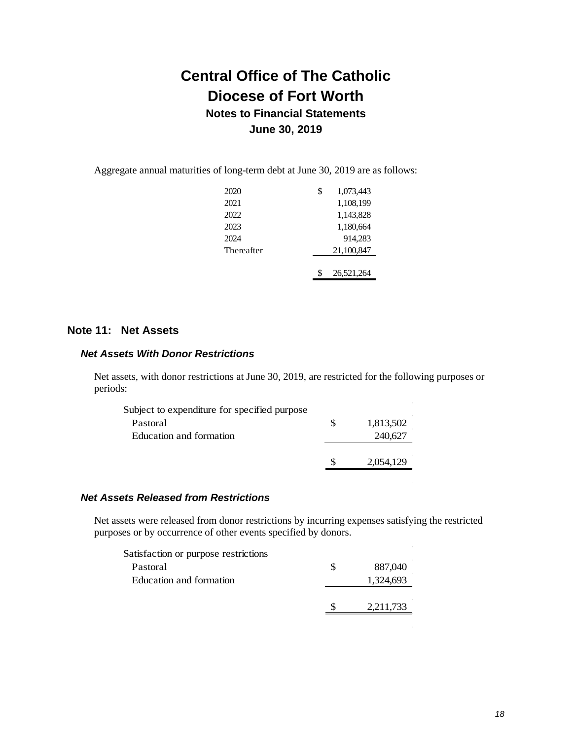Aggregate annual maturities of long-term debt at June 30, 2019 are as follows:

| 2020       | \$<br>1,073,443 |
|------------|-----------------|
| 2021       | 1,108,199       |
| 2022       | 1,143,828       |
| 2023       | 1,180,664       |
| 2024       | 914.283         |
| Thereafter | 21,100,847      |
|            |                 |
|            | 26,521,264      |

#### **Note 11: Net Assets**

#### *Net Assets With Donor Restrictions*

Net assets, with donor restrictions at June 30, 2019, are restricted for the following purposes or periods:

| Subject to expenditure for specified purpose |   |           |
|----------------------------------------------|---|-----------|
| Pastoral                                     | S | 1,813,502 |
| Education and formation                      |   | 240,627   |
|                                              |   |           |
|                                              |   | 2,054,129 |
|                                              |   |           |

#### *Net Assets Released from Restrictions*

Net assets were released from donor restrictions by incurring expenses satisfying the restricted purposes or by occurrence of other events specified by donors.

| S. | 887,040   |
|----|-----------|
|    | 1,324,693 |
|    |           |
|    | 2,211,733 |
|    |           |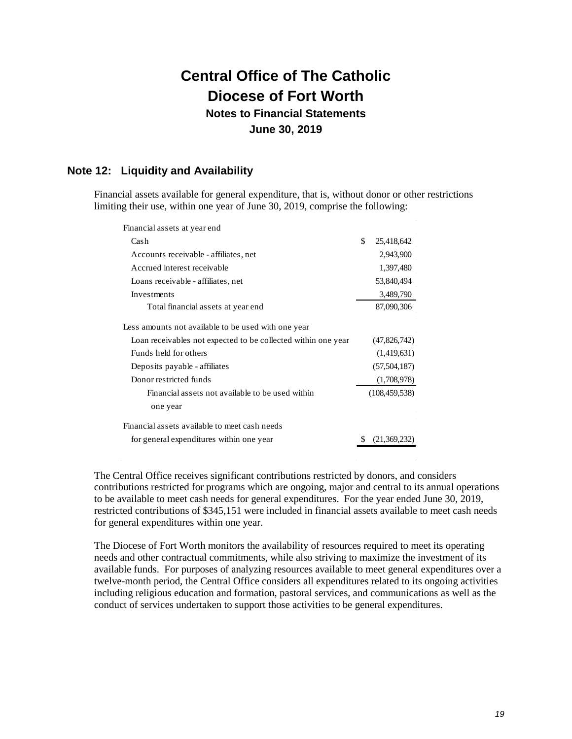# **June 30, 2019**

### **Note 12: Liquidity and Availability**

Financial assets available for general expenditure, that is, without donor or other restrictions limiting their use, within one year of June 30, 2019, comprise the following:

| Financial assets at year end                                  |                  |
|---------------------------------------------------------------|------------------|
| Cash                                                          | \$<br>25,418,642 |
| Accounts receivable - affiliates, net                         | 2,943,900        |
| Accrued interest receivable                                   | 1,397,480        |
| Loans receivable - affiliates, net                            | 53,840,494       |
| Investments                                                   | 3,489,790        |
| Total financial assets at year end.                           | 87,090,306       |
| Less amounts not available to be used with one year           |                  |
| Loan receivables not expected to be collected within one year | (47,826,742)     |
| Funds held for others                                         | (1,419,631)      |
| Deposits payable - affiliates                                 | (57, 504, 187)   |
| Donor restricted funds                                        | (1,708,978)      |
| Financial assets not available to be used within              | (108, 459, 538)  |
| one year                                                      |                  |
| Financial assets available to meet cash needs                 |                  |
| for general expenditures within one year                      | (21,369,232)     |

The Central Office receives significant contributions restricted by donors, and considers contributions restricted for programs which are ongoing, major and central to its annual operations to be available to meet cash needs for general expenditures. For the year ended June 30, 2019, restricted contributions of \$345,151 were included in financial assets available to meet cash needs for general expenditures within one year.

The Diocese of Fort Worth monitors the availability of resources required to meet its operating needs and other contractual commitments, while also striving to maximize the investment of its available funds. For purposes of analyzing resources available to meet general expenditures over a twelve-month period, the Central Office considers all expenditures related to its ongoing activities including religious education and formation, pastoral services, and communications as well as the conduct of services undertaken to support those activities to be general expenditures.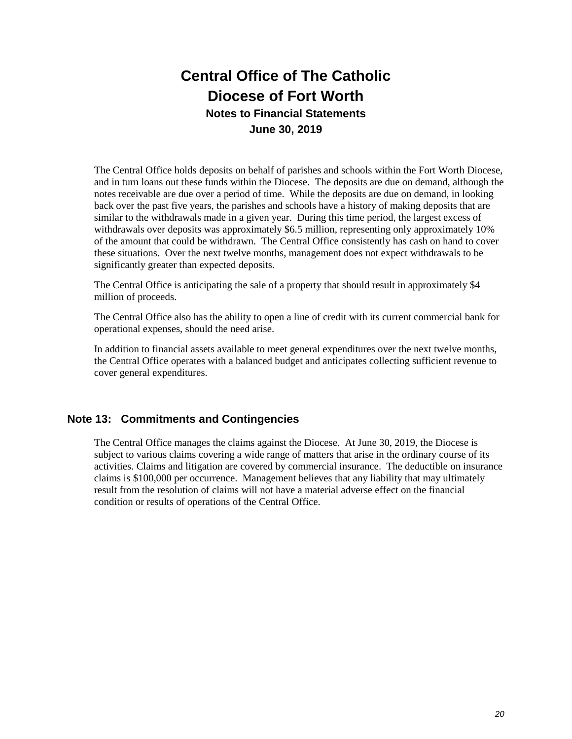The Central Office holds deposits on behalf of parishes and schools within the Fort Worth Diocese, and in turn loans out these funds within the Diocese. The deposits are due on demand, although the notes receivable are due over a period of time. While the deposits are due on demand, in looking back over the past five years, the parishes and schools have a history of making deposits that are similar to the withdrawals made in a given year. During this time period, the largest excess of withdrawals over deposits was approximately \$6.5 million, representing only approximately 10% of the amount that could be withdrawn. The Central Office consistently has cash on hand to cover these situations. Over the next twelve months, management does not expect withdrawals to be significantly greater than expected deposits.

The Central Office is anticipating the sale of a property that should result in approximately \$4 million of proceeds.

The Central Office also has the ability to open a line of credit with its current commercial bank for operational expenses, should the need arise.

In addition to financial assets available to meet general expenditures over the next twelve months, the Central Office operates with a balanced budget and anticipates collecting sufficient revenue to cover general expenditures.

#### **Note 13: Commitments and Contingencies**

The Central Office manages the claims against the Diocese. At June 30, 2019, the Diocese is subject to various claims covering a wide range of matters that arise in the ordinary course of its activities. Claims and litigation are covered by commercial insurance. The deductible on insurance claims is \$100,000 per occurrence. Management believes that any liability that may ultimately result from the resolution of claims will not have a material adverse effect on the financial condition or results of operations of the Central Office.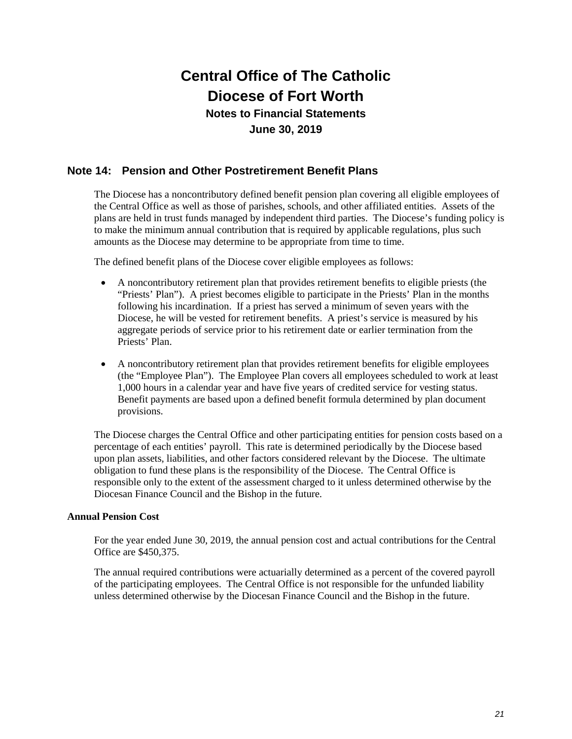#### **Note 14: Pension and Other Postretirement Benefit Plans**

The Diocese has a noncontributory defined benefit pension plan covering all eligible employees of the Central Office as well as those of parishes, schools, and other affiliated entities. Assets of the plans are held in trust funds managed by independent third parties. The Diocese's funding policy is to make the minimum annual contribution that is required by applicable regulations, plus such amounts as the Diocese may determine to be appropriate from time to time.

The defined benefit plans of the Diocese cover eligible employees as follows:

- A noncontributory retirement plan that provides retirement benefits to eligible priests (the "Priests' Plan"). A priest becomes eligible to participate in the Priests' Plan in the months following his incardination. If a priest has served a minimum of seven years with the Diocese, he will be vested for retirement benefits. A priest's service is measured by his aggregate periods of service prior to his retirement date or earlier termination from the Priests' Plan.
- A noncontributory retirement plan that provides retirement benefits for eligible employees (the "Employee Plan"). The Employee Plan covers all employees scheduled to work at least 1,000 hours in a calendar year and have five years of credited service for vesting status. Benefit payments are based upon a defined benefit formula determined by plan document provisions.

The Diocese charges the Central Office and other participating entities for pension costs based on a percentage of each entities' payroll. This rate is determined periodically by the Diocese based upon plan assets, liabilities, and other factors considered relevant by the Diocese. The ultimate obligation to fund these plans is the responsibility of the Diocese. The Central Office is responsible only to the extent of the assessment charged to it unless determined otherwise by the Diocesan Finance Council and the Bishop in the future.

#### **Annual Pension Cost**

For the year ended June 30, 2019, the annual pension cost and actual contributions for the Central Office are \$450,375.

The annual required contributions were actuarially determined as a percent of the covered payroll of the participating employees. The Central Office is not responsible for the unfunded liability unless determined otherwise by the Diocesan Finance Council and the Bishop in the future.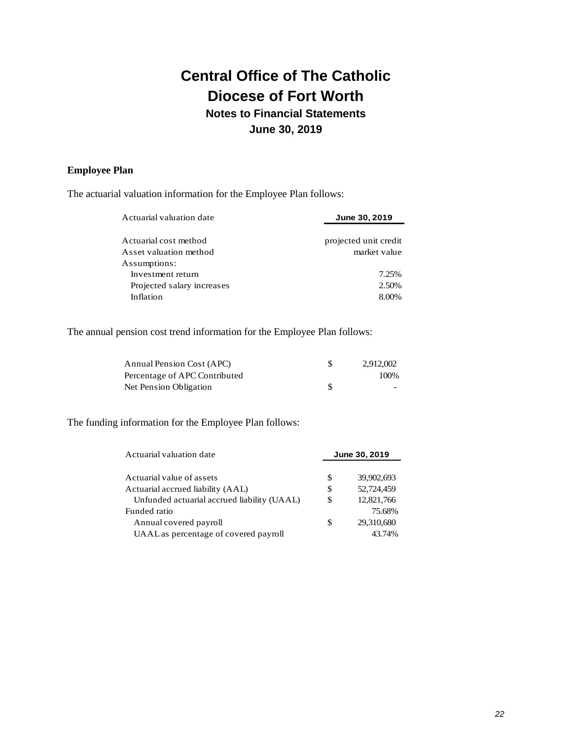### **Notes to Financial Statements June 30, 2019**

#### **Employee Plan**

The actuarial valuation information for the Employee Plan follows:

| Actuarial valuation date   | June 30, 2019         |  |
|----------------------------|-----------------------|--|
| Actuarial cost method      | projected unit credit |  |
| Asset valuation method     | market value          |  |
| Assumptions:               |                       |  |
| Investment return          | 7.25%                 |  |
| Projected salary increases | 2.50%                 |  |
| Inflation                  | 8.00%                 |  |

The annual pension cost trend information for the Employee Plan follows:

| Annual Pension Cost (APC)     | 2.912.002 |
|-------------------------------|-----------|
| Percentage of APC Contributed | 100\%     |
| Net Pension Obligation        |           |

#### The funding information for the Employee Plan follows:

| Actuarial valuation date                    |    | June 30, 2019 |  |
|---------------------------------------------|----|---------------|--|
| Actuarial value of assets                   | \$ | 39,902,693    |  |
| Actuarial accrued liability (AAL)           | S  | 52,724,459    |  |
| Unfunded actuarial accrued liability (UAAL) | \$ | 12,821,766    |  |
| Funded ratio                                |    | 75.68%        |  |
| Annual covered payroll                      | \$ | 29,310,680    |  |
| UAAL as percentage of covered payroll       |    | 43.74%        |  |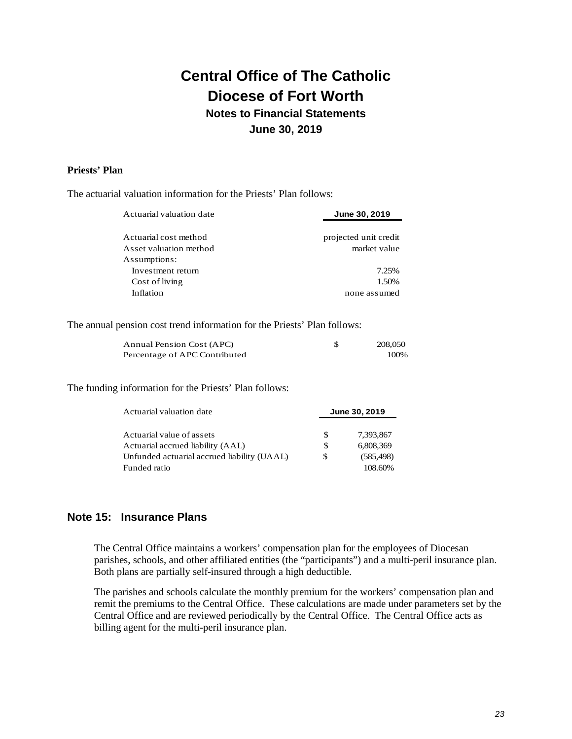### **Notes to Financial Statements June 30, 2019**

#### **Priests' Plan**

The actuarial valuation information for the Priests' Plan follows:

| Actuarial valuation date | June 30, 2019         |
|--------------------------|-----------------------|
|                          |                       |
| Actuarial cost method    | projected unit credit |
| Asset valuation method   | market value          |
| Assumptions:             |                       |
| Investment return        | 7.25%                 |
| Cost of living           | 1.50%                 |
| Inflation                | none assumed          |
|                          |                       |

The annual pension cost trend information for the Priests' Plan follows:

| Annual Pension Cost (APC)     | 208,050 |
|-------------------------------|---------|
| Percentage of APC Contributed | 100%    |

The funding information for the Priests' Plan follows:

| Actuarial valuation date                    | June 30, 2019 |           |
|---------------------------------------------|---------------|-----------|
| Actuarial value of assets                   | \$.           | 7.393.867 |
| Actuarial accrued liability (AAL)           | S             | 6.808.369 |
| Unfunded actuarial accrued liability (UAAL) | S             | (585.498) |
| Funded ratio                                |               | 108.60%   |

#### **Note 15: Insurance Plans**

The Central Office maintains a workers' compensation plan for the employees of Diocesan parishes, schools, and other affiliated entities (the "participants") and a multi-peril insurance plan. Both plans are partially self-insured through a high deductible.

The parishes and schools calculate the monthly premium for the workers' compensation plan and remit the premiums to the Central Office. These calculations are made under parameters set by the Central Office and are reviewed periodically by the Central Office. The Central Office acts as billing agent for the multi-peril insurance plan.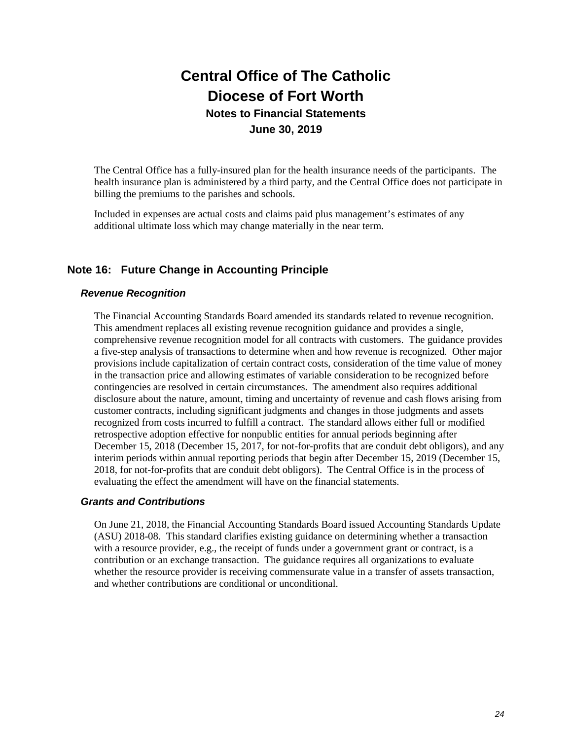The Central Office has a fully-insured plan for the health insurance needs of the participants. The health insurance plan is administered by a third party, and the Central Office does not participate in billing the premiums to the parishes and schools.

Included in expenses are actual costs and claims paid plus management's estimates of any additional ultimate loss which may change materially in the near term.

#### **Note 16: Future Change in Accounting Principle**

#### *Revenue Recognition*

The Financial Accounting Standards Board amended its standards related to revenue recognition. This amendment replaces all existing revenue recognition guidance and provides a single, comprehensive revenue recognition model for all contracts with customers. The guidance provides a five-step analysis of transactions to determine when and how revenue is recognized. Other major provisions include capitalization of certain contract costs, consideration of the time value of money in the transaction price and allowing estimates of variable consideration to be recognized before contingencies are resolved in certain circumstances. The amendment also requires additional disclosure about the nature, amount, timing and uncertainty of revenue and cash flows arising from customer contracts, including significant judgments and changes in those judgments and assets recognized from costs incurred to fulfill a contract. The standard allows either full or modified retrospective adoption effective for nonpublic entities for annual periods beginning after December 15, 2018 (December 15, 2017, for not-for-profits that are conduit debt obligors), and any interim periods within annual reporting periods that begin after December 15, 2019 (December 15, 2018, for not-for-profits that are conduit debt obligors). The Central Office is in the process of evaluating the effect the amendment will have on the financial statements.

#### *Grants and Contributions*

On June 21, 2018, the Financial Accounting Standards Board issued Accounting Standards Update (ASU) 2018-08. This standard clarifies existing guidance on determining whether a transaction with a resource provider, e.g., the receipt of funds under a government grant or contract, is a contribution or an exchange transaction. The guidance requires all organizations to evaluate whether the resource provider is receiving commensurate value in a transfer of assets transaction, and whether contributions are conditional or unconditional.